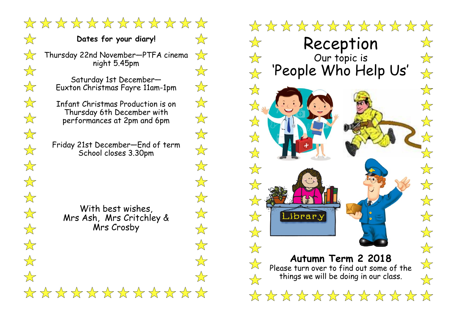